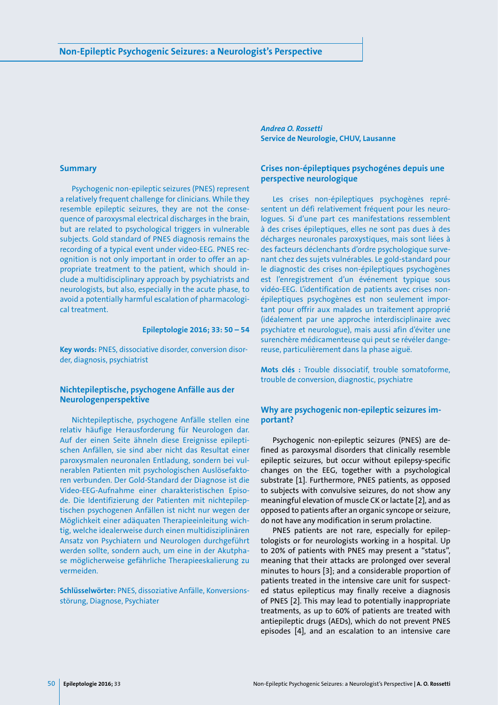#### **Summary**

Psychogenic non-epileptic seizures (PNES) represent a relatively frequent challenge for clinicians. While they resemble epileptic seizures, they are not the consequence of paroxysmal electrical discharges in the brain, but are related to psychological triggers in vulnerable subjects. Gold standard of PNES diagnosis remains the recording of a typical event under video-EEG. PNES recognition is not only important in order to offer an appropriate treatment to the patient, which should include a multidisciplinary approach by psychiatrists and neurologists, but also, especially in the acute phase, to avoid a potentially harmful escalation of pharmacological treatment.

#### **Epileptologie 2016; 33: 50 – 54**

**Key words:** PNES, dissociative disorder, conversion disorder, diagnosis, psychiatrist

# **Nichtepileptische, psychogene Anfälle aus der Neurologenperspektive**

Nichtepileptische, psychogene Anfälle stellen eine relativ häufige Herausforderung für Neurologen dar. Auf der einen Seite ähneln diese Ereignisse epileptischen Anfällen, sie sind aber nicht das Resultat einer paroxysmalen neuronalen Entladung, sondern bei vulnerablen Patienten mit psychologischen Auslösefaktoren verbunden. Der Gold-Standard der Diagnose ist die Video-EEG-Aufnahme einer charakteristischen Episode. Die Identifizierung der Patienten mit nichtepileptischen psychogenen Anfällen ist nicht nur wegen der Möglichkeit einer adäquaten Therapieeinleitung wichtig, welche idealerweise durch einen multidisziplinären Ansatz von Psychiatern und Neurologen durchgeführt werden sollte, sondern auch, um eine in der Akutphase möglicherweise gefährliche Therapieeskalierung zu vermeiden.

**Schlüsselwörter:** PNES, dissoziative Anfälle, Konversionsstörung, Diagnose, Psychiater

*Andrea O. Rossetti* **Service de Neurologie, CHUV, Lausanne**

# **Crises non-épileptiques psychogénes depuis une perspective neurologique**

Les crises non-épileptiques psychogènes représentent un défi relativement fréquent pour les neurologues. Si d'une part ces manifestations ressemblent à des crises épileptiques, elles ne sont pas dues à des décharges neuronales paroxystiques, mais sont liées à des facteurs déclenchants d'ordre psychologique survenant chez des sujets vulnérables. Le gold-standard pour le diagnostic des crises non-épileptiques psychogènes est l'enregistrement d'un événement typique sous vidéo-EEG. L'identification de patients avec crises nonépileptiques psychogènes est non seulement important pour offrir aux malades un traitement approprié (idéalement par une approche interdisciplinaire avec psychiatre et neurologue), mais aussi afin d'éviter une surenchère médicamenteuse qui peut se révéler dangereuse, particulièrement dans la phase aiguë.

**Mots clés :** Trouble dissociatif, trouble somatoforme, trouble de conversion, diagnostic, psychiatre

# **Why are psychogenic non-epileptic seizures important?**

Psychogenic non-epileptic seizures (PNES) are defined as paroxysmal disorders that clinically resemble epileptic seizures, but occur without epilepsy-specific changes on the EEG, together with a psychological substrate [1]. Furthermore, PNES patients, as opposed to subjects with convulsive seizures, do not show any meaningful elevation of muscle CK or lactate [2], and as opposed to patients after an organic syncope or seizure, do not have any modification in serum prolactine.

PNES patients are not rare, especially for epileptologists or for neurologists working in a hospital. Up to 20% of patients with PNES may present a "status", meaning that their attacks are prolonged over several minutes to hours [3]; and a considerable proportion of patients treated in the intensive care unit for suspected status epilepticus may finally receive a diagnosis of PNES [2]. This may lead to potentially inappropriate treatments, as up to 60% of patients are treated with antiepileptic drugs (AEDs), which do not prevent PNES episodes [4], and an escalation to an intensive care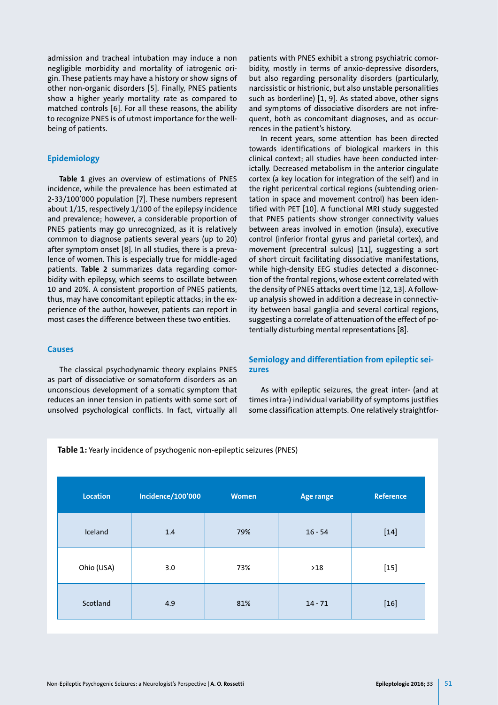admission and tracheal intubation may induce a non negligible morbidity and mortality of iatrogenic origin. These patients may have a history or show signs of other non-organic disorders [5]. Finally, PNES patients show a higher yearly mortality rate as compared to matched controls [6]. For all these reasons, the ability to recognize PNES is of utmost importance for the wellbeing of patients.

#### **Epidemiology**

**Table 1** gives an overview of estimations of PNES incidence, while the prevalence has been estimated at 2-33/100'000 population [7]. These numbers represent about 1/15, respectively 1/100 of the epilepsy incidence and prevalence; however, a considerable proportion of PNES patients may go unrecognized, as it is relatively common to diagnose patients several years (up to 20) after symptom onset [8]. In all studies, there is a prevalence of women. This is especially true for middle-aged patients. **Table 2** summarizes data regarding comorbidity with epilepsy, which seems to oscillate between 10 and 20%. A consistent proportion of PNES patients, thus, may have concomitant epileptic attacks; in the experience of the author, however, patients can report in most cases the difference between these two entities.

# **Causes**

The classical psychodynamic theory explains PNES as part of dissociative or somatoform disorders as an unconscious development of a somatic symptom that reduces an inner tension in patients with some sort of unsolved psychological conflicts. In fact, virtually all

patients with PNES exhibit a strong psychiatric comorbidity, mostly in terms of anxio-depressive disorders, but also regarding personality disorders (particularly, narcissistic or histrionic, but also unstable personalities such as borderline) [1, 9]. As stated above, other signs and symptoms of dissociative disorders are not infrequent, both as concomitant diagnoses, and as occurrences in the patient's history.

In recent years, some attention has been directed towards identifications of biological markers in this clinical context; all studies have been conducted interictally. Decreased metabolism in the anterior cingulate cortex (a key location for integration of the self) and in the right pericentral cortical regions (subtending orientation in space and movement control) has been identified with PET [10]. A functional MRI study suggested that PNES patients show stronger connectivity values between areas involved in emotion (insula), executive control (inferior frontal gyrus and parietal cortex), and movement (precentral sulcus) [11], suggesting a sort of short circuit facilitating dissociative manifestations, while high-density EEG studies detected a disconnection of the frontal regions, whose extent correlated with the density of PNES attacks overt time [12, 13]. A followup analysis showed in addition a decrease in connectivity between basal ganglia and several cortical regions, suggesting a correlate of attenuation of the effect of potentially disturbing mental representations [8].

# **Semiology and differentiation from epileptic seizures**

As with epileptic seizures, the great inter- (and at times intra-) individual variability of symptoms justifies some classification attempts. One relatively straightfor-

**Table 1:** Yearly incidence of psychogenic non-epileptic seizures (PNES)

| Location   | <b>Incidence/100'000</b> | <b>Women</b> | <b>Age range</b> | <b>Reference</b> |
|------------|--------------------------|--------------|------------------|------------------|
| Iceland    | 1.4                      | 79%          | $16 - 54$        | $[14]$           |
| Ohio (USA) | 3.0                      | 73%          | $>18$            | $[15]$           |
| Scotland   | 4.9                      | 81%          | $14 - 71$        | $[16]$           |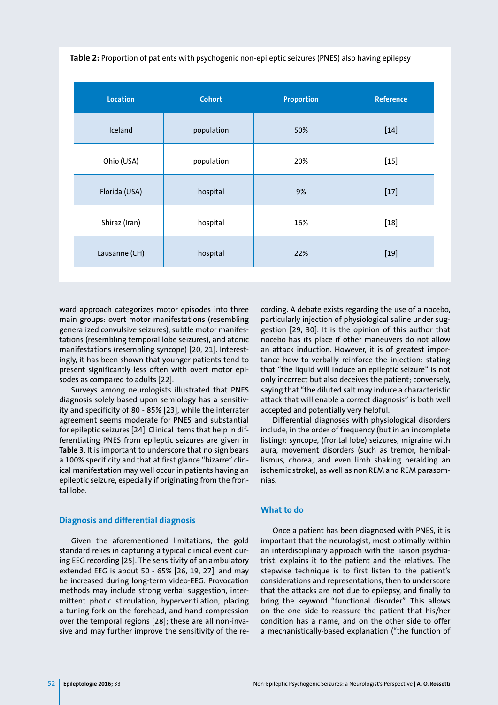**Table 2:** Proportion of patients with psychogenic non-epileptic seizures (PNES) also having epilepsy

| <b>Location</b> | <b>Cohort</b> | <b>Proportion</b> | <b>Reference</b> |
|-----------------|---------------|-------------------|------------------|
| Iceland         | population    | 50%               | $[14]$           |
| Ohio (USA)      | population    | 20%               | $[15]$           |
| Florida (USA)   | hospital      | 9%                | $[17]$           |
| Shiraz (Iran)   | hospital      | 16%               | $[18]$           |
| Lausanne (CH)   | hospital      | 22%               | $[19]$           |

ward approach categorizes motor episodes into three main groups: overt motor manifestations (resembling generalized convulsive seizures), subtle motor manifestations (resembling temporal lobe seizures), and atonic manifestations (resembling syncope) [20, 21]. Interestingly, it has been shown that younger patients tend to present significantly less often with overt motor episodes as compared to adults [22].

Surveys among neurologists illustrated that PNES diagnosis solely based upon semiology has a sensitivity and specificity of 80 - 85% [23], while the interrater agreement seems moderate for PNES and substantial for epileptic seizures [24]. Clinical items that help in differentiating PNES from epileptic seizures are given in **Table 3**. It is important to underscore that no sign bears a 100% specificity and that at first glance "bizarre" clinical manifestation may well occur in patients having an epileptic seizure, especially if originating from the frontal lobe.

## **Diagnosis and differential diagnosis**

Given the aforementioned limitations, the gold standard relies in capturing a typical clinical event during EEG recording [25]. The sensitivity of an ambulatory extended EEG is about 50 - 65% [26, 19, 27], and may be increased during long-term video-EEG. Provocation methods may include strong verbal suggestion, intermittent photic stimulation, hyperventilation, placing a tuning fork on the forehead, and hand compression over the temporal regions [28]; these are all non-invasive and may further improve the sensitivity of the recording. A debate exists regarding the use of a nocebo, particularly injection of physiological saline under suggestion [29, 30]. It is the opinion of this author that nocebo has its place if other maneuvers do not allow an attack induction. However, it is of greatest importance how to verbally reinforce the injection: stating that "the liquid will induce an epileptic seizure" is not only incorrect but also deceives the patient; conversely, saying that "the diluted salt may induce a characteristic attack that will enable a correct diagnosis" is both well accepted and potentially very helpful.

Differential diagnoses with physiological disorders include, in the order of frequency (but in an incomplete listing): syncope, (frontal lobe) seizures, migraine with aura, movement disorders (such as tremor, hemiballismus, chorea, and even limb shaking heralding an ischemic stroke), as well as non REM and REM parasomnias.

# **What to do**

Once a patient has been diagnosed with PNES, it is important that the neurologist, most optimally within an interdisciplinary approach with the liaison psychiatrist, explains it to the patient and the relatives. The stepwise technique is to first listen to the patient's considerations and representations, then to underscore that the attacks are not due to epilepsy, and finally to bring the keyword "functional disorder". This allows on the one side to reassure the patient that his/her condition has a name, and on the other side to offer a mechanistically-based explanation ("the function of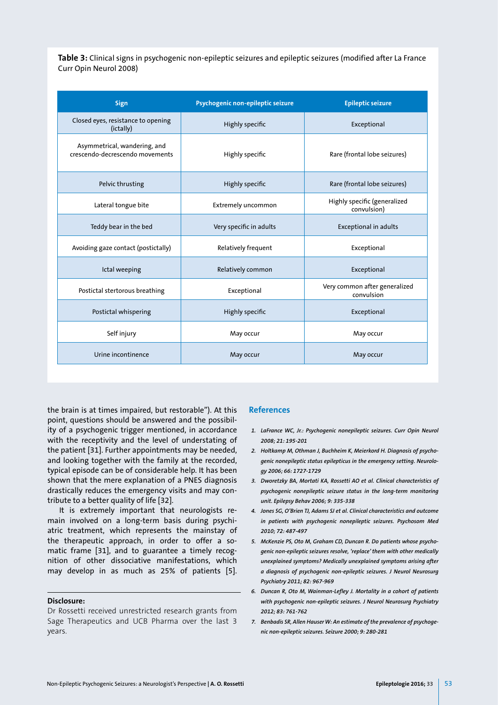**Table 3:** Clinical signs in psychogenic non-epileptic seizures and epileptic seizures (modified after La France Curr Opin Neurol 2008)

| Sign                                                            | Psychogenic non-epileptic seizure | <b>Epileptic seizure</b>                    |  |
|-----------------------------------------------------------------|-----------------------------------|---------------------------------------------|--|
| Closed eyes, resistance to opening<br>(ictally)                 | Highly specific                   | Exceptional                                 |  |
| Asymmetrical, wandering, and<br>crescendo-decrescendo movements | Highly specific                   | Rare (frontal lobe seizures)                |  |
| Pelvic thrusting                                                | Highly specific                   | Rare (frontal lobe seizures)                |  |
| Lateral tongue bite                                             | Extremely uncommon                | Highly specific (generalized<br>convulsion) |  |
| Teddy bear in the bed                                           | Very specific in adults           | <b>Exceptional in adults</b>                |  |
| Avoiding gaze contact (postictally)                             | <b>Relatively frequent</b>        | Exceptional                                 |  |
| Ictal weeping                                                   | Relatively common                 | Exceptional                                 |  |
| Postictal stertorous breathing                                  | Exceptional                       | Very common after generalized<br>convulsion |  |
| Postictal whispering                                            | Highly specific                   | Exceptional                                 |  |
| Self injury                                                     | May occur                         | May occur                                   |  |
| Urine incontinence                                              | May occur                         | May occur                                   |  |

the brain is at times impaired, but restorable"). At this point, questions should be answered and the possibility of a psychogenic trigger mentioned, in accordance with the receptivity and the level of understating of the patient [31]. Further appointments may be needed, and looking together with the family at the recorded, typical episode can be of considerable help. It has been shown that the mere explanation of a PNES diagnosis drastically reduces the emergency visits and may contribute to a better quality of life [32].

It is extremely important that neurologists remain involved on a long-term basis during psychiatric treatment, which represents the mainstay of the therapeutic approach, in order to offer a somatic frame [31], and to guarantee a timely recognition of other dissociative manifestations, which may develop in as much as 25% of patients [5].

#### **Disclosure:**

Dr Rossetti received unrestricted research grants from Sage Therapeutics and UCB Pharma over the last 3 years.

#### **References**

- *1. LaFrance WC, Jr.: Psychogenic nonepileptic seizures. Curr Opin Neurol 2008; 21: 195-201*
- *2. Holtkamp M, Othman J, Buchheim K, Meierkord H. Diagnosis of psychogenic nonepileptic status epilepticus in the emergency setting. Neurology 2006; 66: 1727-1729*
- *3. Dworetzky BA, Mortati KA, Rossetti AO et al. Clinical characteristics of psychogenic nonepileptic seizure status in the long-term monitoring unit. Epilepsy Behav 2006; 9: 335-338*
- *4. Jones SG, O'Brien TJ, Adams SJ et al. Clinical characteristics and outcome in patients with psychogenic nonepileptic seizures. Psychosom Med 2010; 72: 487-497*
- *5. McKenzie PS, Oto M, Graham CD, Duncan R. Do patients whose psychogenic non-epileptic seizures resolve, 'replace' them with other medically unexplained symptoms? Medically unexplained symptoms arising after a diagnosis of psychogenic non-epileptic seizures. J Neurol Neurosurg Psychiatry 2011; 82: 967-969*
- *6. Duncan R, Oto M, Wainman-Lefley J. Mortality in a cohort of patients with psychogenic non-epileptic seizures. J Neurol Neurosurg Psychiatry 2012; 83: 761-762*
- *7. Benbadis SR, Allen Hauser W: An estimate of the prevalence of psychogenic non-epileptic seizures. Seizure 2000; 9: 280-281*